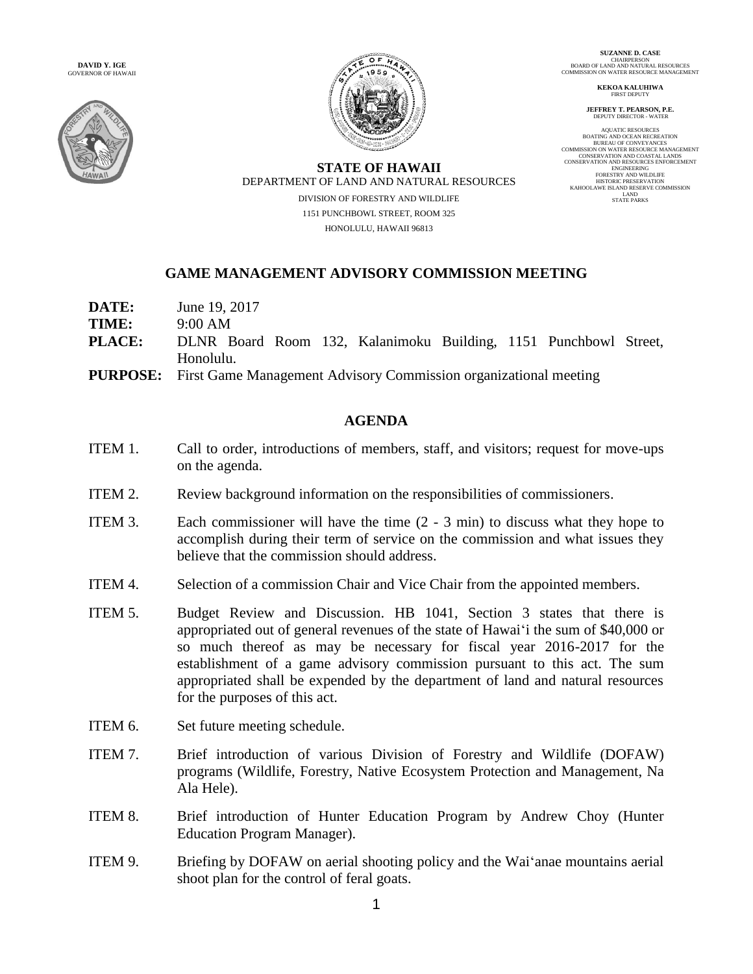**DAVID Y. IGE** GOVERNOR OF HAWAII





**SUZANNE D. CASE** CHAIRPERSON BOARD OF LAND AND NATURAL RESOURCES COMMISSION ON WATER RESOURCE MANAGEMENT

**KEKOA KALUHIWA** FIRST DEPUTY

**JEFFREY T. PEARSON, P.E.** DEPUTY DIRECTOR - WATER

AQUATIC RESOURCES<br>
NOUNTE AND OCEAN RECREATION<br>
BUREAU OF CONVEYANCES<br>
DUREAU OF CONVEYANCES<br>
COMMISSION ON WATER RESOURCE MANAGEMENT<br>
CONSERVATION AND RESOURCES ENFORCEMENT<br>
FORESTRY AND RESOURCES<br>
ENFORCEMENT<br>
FORESTRY A

**STATE OF HAWAII** DEPARTMENT OF LAND AND NATURAL RESOURCES DIVISION OF FORESTRY AND WILDLIFE 1151 PUNCHBOWL STREET, ROOM 325 HONOLULU, HAWAII 96813

## **GAME MANAGEMENT ADVISORY COMMISSION MEETING**

| DATE:<br>TIME: | June 19, 2017<br>9:00 AM                                                         |
|----------------|----------------------------------------------------------------------------------|
| <b>PLACE:</b>  | DLNR Board Room 132, Kalanimoku Building, 1151 Punchbowl Street,<br>Honolulu.    |
|                | <b>PURPOSE:</b> First Game Management Advisory Commission organizational meeting |

## **AGENDA**

- ITEM 1. Call to order, introductions of members, staff, and visitors; request for move-ups on the agenda.
- ITEM 2. Review background information on the responsibilities of commissioners.
- ITEM 3. Each commissioner will have the time (2 3 min) to discuss what they hope to accomplish during their term of service on the commission and what issues they believe that the commission should address.
- ITEM 4. Selection of a commission Chair and Vice Chair from the appointed members.
- ITEM 5. Budget Review and Discussion. HB 1041, Section 3 states that there is appropriated out of general revenues of the state of Hawai'i the sum of \$40,000 or so much thereof as may be necessary for fiscal year 2016-2017 for the establishment of a game advisory commission pursuant to this act. The sum appropriated shall be expended by the department of land and natural resources for the purposes of this act.
- ITEM 6. Set future meeting schedule.
- ITEM 7. Brief introduction of various Division of Forestry and Wildlife (DOFAW) programs (Wildlife, Forestry, Native Ecosystem Protection and Management, Na Ala Hele).
- ITEM 8. Brief introduction of Hunter Education Program by Andrew Choy (Hunter Education Program Manager).
- ITEM 9. Briefing by DOFAW on aerial shooting policy and the Wai'anae mountains aerial shoot plan for the control of feral goats.